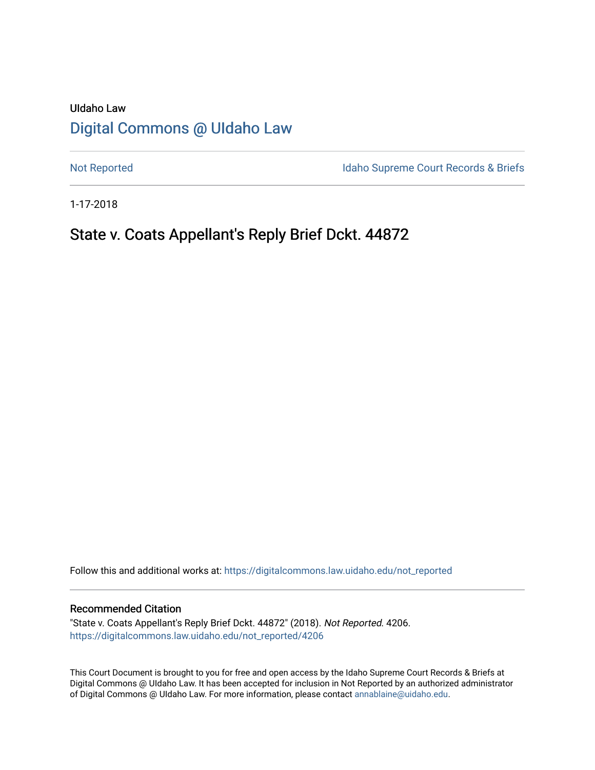# UIdaho Law [Digital Commons @ UIdaho Law](https://digitalcommons.law.uidaho.edu/)

[Not Reported](https://digitalcommons.law.uidaho.edu/not_reported) **Idaho Supreme Court Records & Briefs** 

1-17-2018

# State v. Coats Appellant's Reply Brief Dckt. 44872

Follow this and additional works at: [https://digitalcommons.law.uidaho.edu/not\\_reported](https://digitalcommons.law.uidaho.edu/not_reported?utm_source=digitalcommons.law.uidaho.edu%2Fnot_reported%2F4206&utm_medium=PDF&utm_campaign=PDFCoverPages) 

#### Recommended Citation

"State v. Coats Appellant's Reply Brief Dckt. 44872" (2018). Not Reported. 4206. [https://digitalcommons.law.uidaho.edu/not\\_reported/4206](https://digitalcommons.law.uidaho.edu/not_reported/4206?utm_source=digitalcommons.law.uidaho.edu%2Fnot_reported%2F4206&utm_medium=PDF&utm_campaign=PDFCoverPages)

This Court Document is brought to you for free and open access by the Idaho Supreme Court Records & Briefs at Digital Commons @ UIdaho Law. It has been accepted for inclusion in Not Reported by an authorized administrator of Digital Commons @ UIdaho Law. For more information, please contact [annablaine@uidaho.edu](mailto:annablaine@uidaho.edu).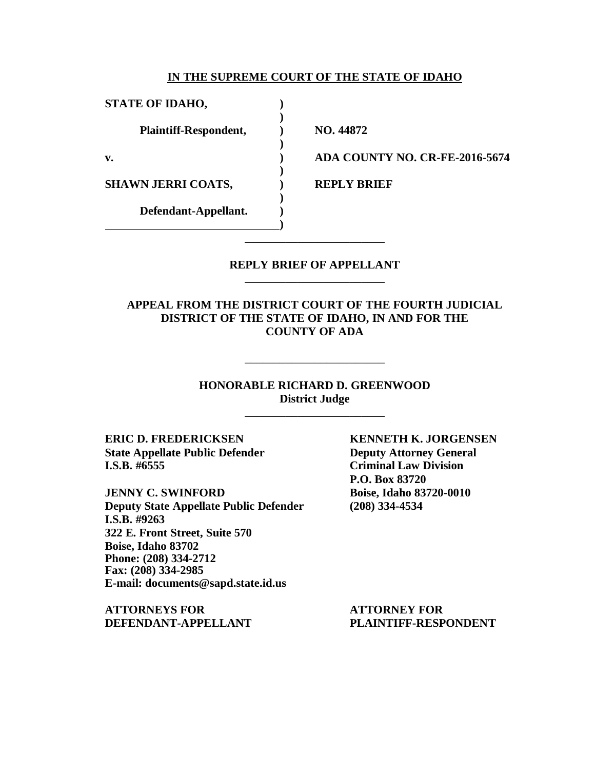#### **IN THE SUPREME COURT OF THE STATE OF IDAHO**

**)**

**)**

**)**

**)**

**)**

**STATE OF IDAHO, ) Plaintiff-Respondent, ) NO. 44872 SHAWN JERRI COATS,**  $\qquad$  **) REPLY BRIEF Defendant-Appellant. )**

**v. ) ADA COUNTY NO. CR-FE-2016-5674**

#### **REPLY BRIEF OF APPELLANT** \_\_\_\_\_\_\_\_\_\_\_\_\_\_\_\_\_\_\_\_\_\_\_\_

\_\_\_\_\_\_\_\_\_\_\_\_\_\_\_\_\_\_\_\_\_\_\_\_

**APPEAL FROM THE DISTRICT COURT OF THE FOURTH JUDICIAL DISTRICT OF THE STATE OF IDAHO, IN AND FOR THE COUNTY OF ADA**

> **HONORABLE RICHARD D. GREENWOOD District Judge**

> > \_\_\_\_\_\_\_\_\_\_\_\_\_\_\_\_\_\_\_\_\_\_\_\_

\_\_\_\_\_\_\_\_\_\_\_\_\_\_\_\_\_\_\_\_\_\_\_\_

**State Appellate Public Defender Deputy Attorney General I.S.B. #6555 Criminal Law Division**

**JENNY C. SWINFORD Boise, Idaho 83720-0010 Deputy State Appellate Public Defender (208) 334-4534 I.S.B. #9263 322 E. Front Street, Suite 570 Boise, Idaho 83702 Phone: (208) 334-2712 Fax: (208) 334-2985 E-mail: documents@sapd.state.id.us**

**ATTORNEYS FOR ATTORNEY FOR DEFENDANT-APPELLANT PLAINTIFF-RESPONDENT**

**ERIC D. FREDERICKSEN KENNETH K. JORGENSEN P.O. Box 83720**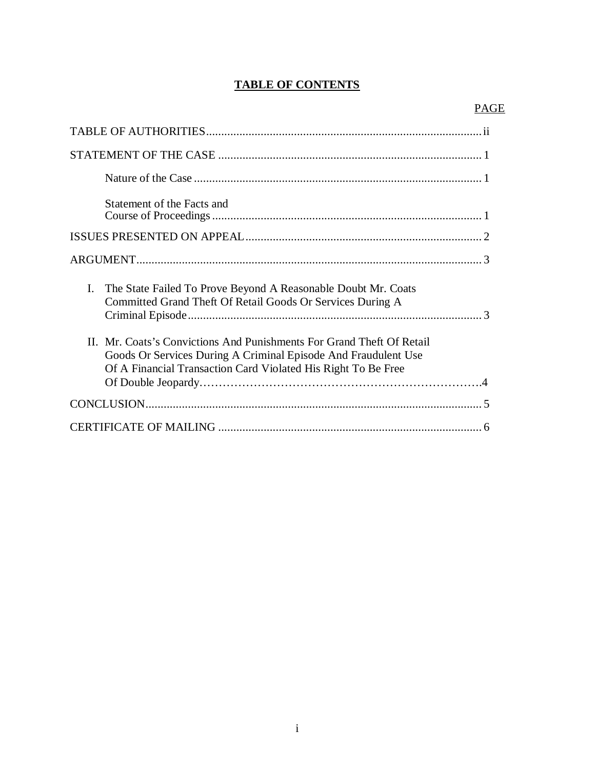## **TABLE OF CONTENTS**

| Statement of the Facts and                                                                                                                                                                               |
|----------------------------------------------------------------------------------------------------------------------------------------------------------------------------------------------------------|
|                                                                                                                                                                                                          |
|                                                                                                                                                                                                          |
| The State Failed To Prove Beyond A Reasonable Doubt Mr. Coats<br>L.<br>Committed Grand Theft Of Retail Goods Or Services During A                                                                        |
| II. Mr. Coats's Convictions And Punishments For Grand Theft Of Retail<br>Goods Or Services During A Criminal Episode And Fraudulent Use<br>Of A Financial Transaction Card Violated His Right To Be Free |
|                                                                                                                                                                                                          |
|                                                                                                                                                                                                          |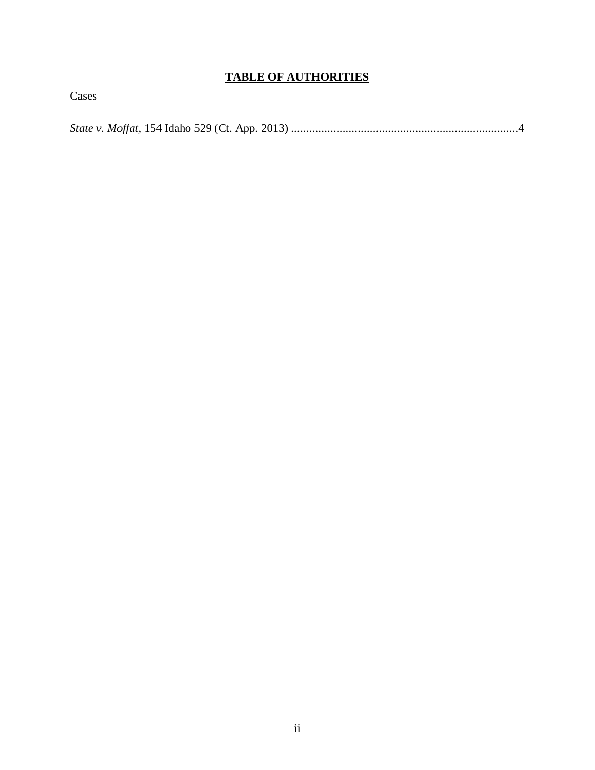## **TABLE OF AUTHORITIES**

**Cases** 

*State v. Moffat*, 154 Idaho 529 (Ct. App. 2013) ...........................................................................4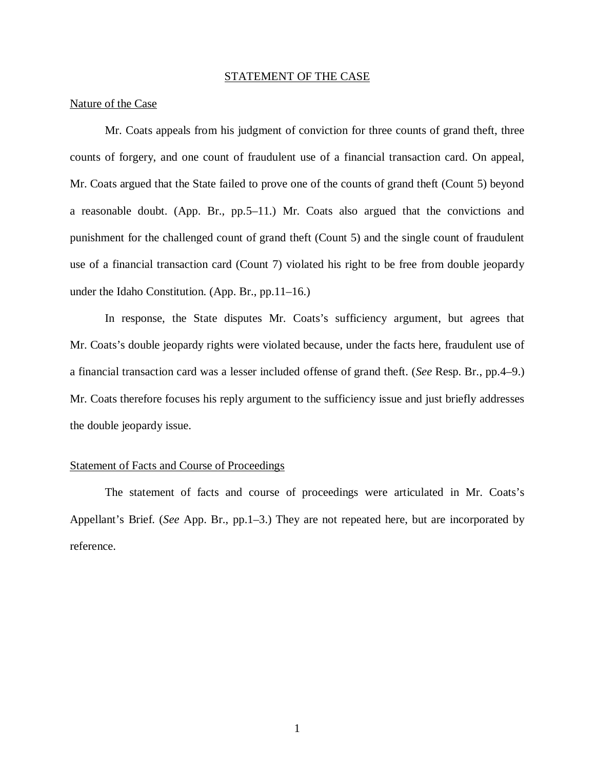#### STATEMENT OF THE CASE

#### Nature of the Case

Mr. Coats appeals from his judgment of conviction for three counts of grand theft, three counts of forgery, and one count of fraudulent use of a financial transaction card. On appeal, Mr. Coats argued that the State failed to prove one of the counts of grand theft (Count 5) beyond a reasonable doubt. (App. Br., pp.5–11.) Mr. Coats also argued that the convictions and punishment for the challenged count of grand theft (Count 5) and the single count of fraudulent use of a financial transaction card (Count 7) violated his right to be free from double jeopardy under the Idaho Constitution. (App. Br., pp.11–16.)

In response, the State disputes Mr. Coats's sufficiency argument, but agrees that Mr. Coats's double jeopardy rights were violated because, under the facts here, fraudulent use of a financial transaction card was a lesser included offense of grand theft. (*See* Resp. Br., pp.4–9.) Mr. Coats therefore focuses his reply argument to the sufficiency issue and just briefly addresses the double jeopardy issue.

#### Statement of Facts and Course of Proceedings

The statement of facts and course of proceedings were articulated in Mr. Coats's Appellant's Brief. (*See* App. Br., pp.1–3.) They are not repeated here, but are incorporated by reference.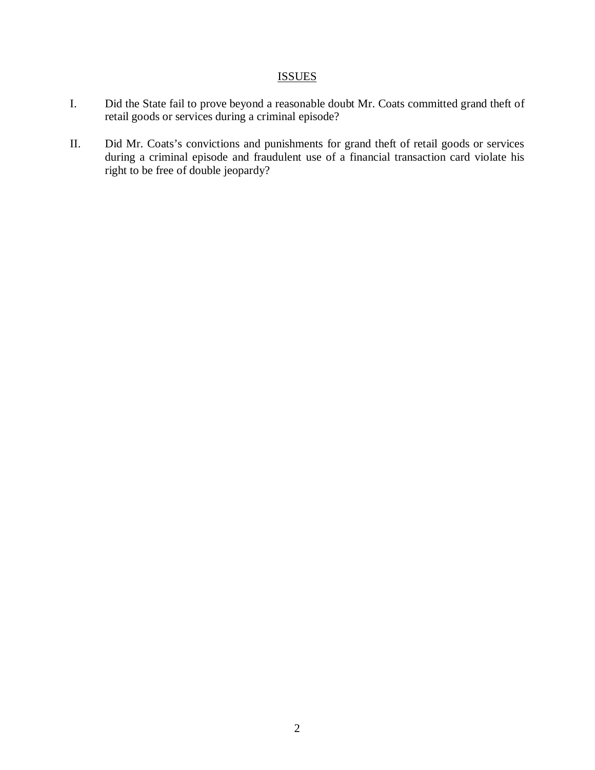# ISSUES

- I. Did the State fail to prove beyond a reasonable doubt Mr. Coats committed grand theft of retail goods or services during a criminal episode?
- II. Did Mr. Coats's convictions and punishments for grand theft of retail goods or services during a criminal episode and fraudulent use of a financial transaction card violate his right to be free of double jeopardy?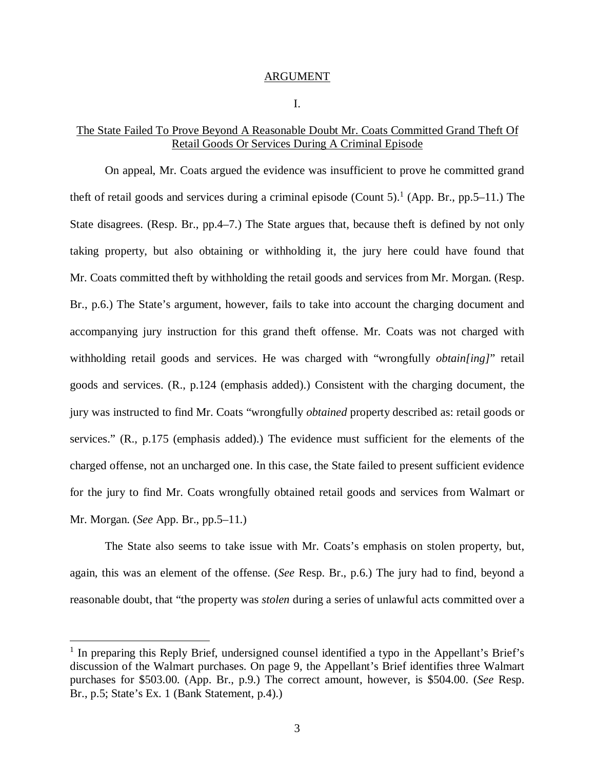#### ARGUMENT

I.

#### The State Failed To Prove Beyond A Reasonable Doubt Mr. Coats Committed Grand Theft Of Retail Goods Or Services During A Criminal Episode

On appeal, Mr. Coats argued the evidence was insufficient to prove he committed grand theft of retail goods and services during a criminal episode (Count 5).<sup>[1](#page-6-0)</sup> (App. Br., pp.5–11.) The State disagrees. (Resp. Br., pp.4–7.) The State argues that, because theft is defined by not only taking property, but also obtaining or withholding it, the jury here could have found that Mr. Coats committed theft by withholding the retail goods and services from Mr. Morgan. (Resp. Br., p.6.) The State's argument, however, fails to take into account the charging document and accompanying jury instruction for this grand theft offense. Mr. Coats was not charged with withholding retail goods and services. He was charged with "wrongfully *obtain[ing]*" retail goods and services. (R., p.124 (emphasis added).) Consistent with the charging document, the jury was instructed to find Mr. Coats "wrongfully *obtained* property described as: retail goods or services." (R., p.175 (emphasis added).) The evidence must sufficient for the elements of the charged offense, not an uncharged one. In this case, the State failed to present sufficient evidence for the jury to find Mr. Coats wrongfully obtained retail goods and services from Walmart or Mr. Morgan. (*See* App. Br., pp.5–11.)

The State also seems to take issue with Mr. Coats's emphasis on stolen property, but, again, this was an element of the offense. (*See* Resp. Br., p.6.) The jury had to find, beyond a reasonable doubt, that "the property was *stolen* during a series of unlawful acts committed over a

<span id="page-6-0"></span><sup>&</sup>lt;sup>1</sup> In preparing this Reply Brief, undersigned counsel identified a typo in the Appellant's Brief's discussion of the Walmart purchases. On page 9, the Appellant's Brief identifies three Walmart purchases for \$503.00. (App. Br., p.9.) The correct amount, however, is \$504.00. (*See* Resp. Br., p.5; State's Ex. 1 (Bank Statement, p.4).)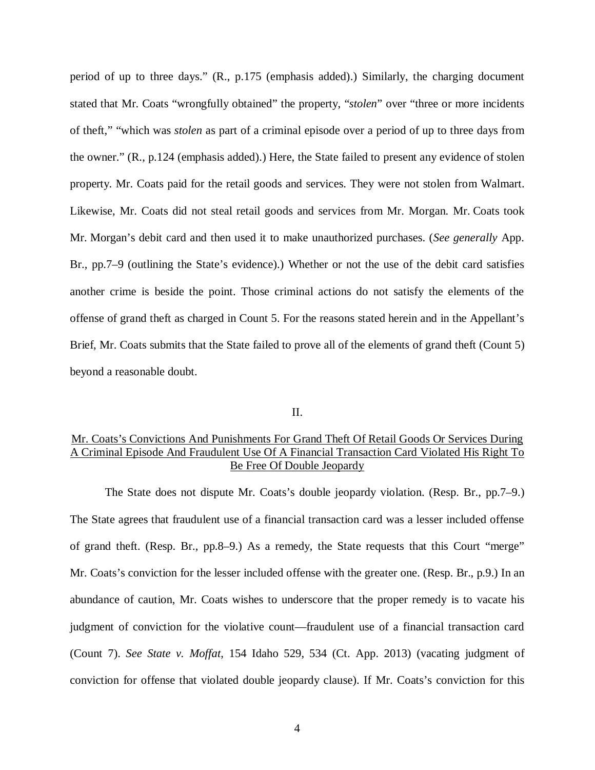period of up to three days." (R., p.175 (emphasis added).) Similarly, the charging document stated that Mr. Coats "wrongfully obtained" the property, "*stolen*" over "three or more incidents of theft," "which was *stolen* as part of a criminal episode over a period of up to three days from the owner." (R., p.124 (emphasis added).) Here, the State failed to present any evidence of stolen property. Mr. Coats paid for the retail goods and services. They were not stolen from Walmart. Likewise, Mr. Coats did not steal retail goods and services from Mr. Morgan. Mr. Coats took Mr. Morgan's debit card and then used it to make unauthorized purchases. (*See generally* App. Br., pp.7–9 (outlining the State's evidence).) Whether or not the use of the debit card satisfies another crime is beside the point. Those criminal actions do not satisfy the elements of the offense of grand theft as charged in Count 5. For the reasons stated herein and in the Appellant's Brief, Mr. Coats submits that the State failed to prove all of the elements of grand theft (Count 5) beyond a reasonable doubt.

#### II.

### Mr. Coats's Convictions And Punishments For Grand Theft Of Retail Goods Or Services During A Criminal Episode And Fraudulent Use Of A Financial Transaction Card Violated His Right To Be Free Of Double Jeopardy

The State does not dispute Mr. Coats's double jeopardy violation. (Resp. Br., pp.7–9.) The State agrees that fraudulent use of a financial transaction card was a lesser included offense of grand theft. (Resp. Br., pp.8–9.) As a remedy, the State requests that this Court "merge" Mr. Coats's conviction for the lesser included offense with the greater one. (Resp. Br., p.9.) In an abundance of caution, Mr. Coats wishes to underscore that the proper remedy is to vacate his judgment of conviction for the violative count—fraudulent use of a financial transaction card (Count 7). *See State v. Moffat*, 154 Idaho 529, 534 (Ct. App. 2013) (vacating judgment of conviction for offense that violated double jeopardy clause). If Mr. Coats's conviction for this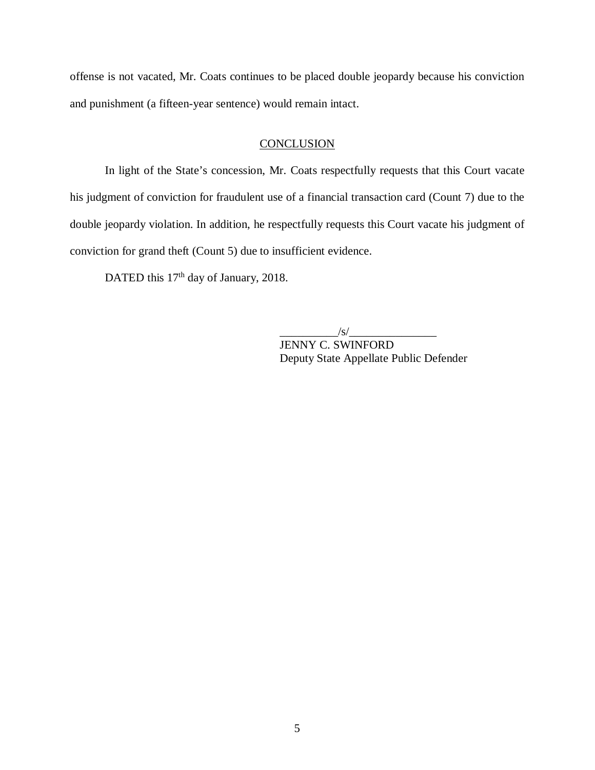offense is not vacated, Mr. Coats continues to be placed double jeopardy because his conviction and punishment (a fifteen-year sentence) would remain intact.

### **CONCLUSION**

In light of the State's concession, Mr. Coats respectfully requests that this Court vacate his judgment of conviction for fraudulent use of a financial transaction card (Count 7) due to the double jeopardy violation. In addition, he respectfully requests this Court vacate his judgment of conviction for grand theft (Count 5) due to insufficient evidence.

DATED this 17<sup>th</sup> day of January, 2018.

 $\frac{1}{s}$ 

JENNY C. SWINFORD Deputy State Appellate Public Defender